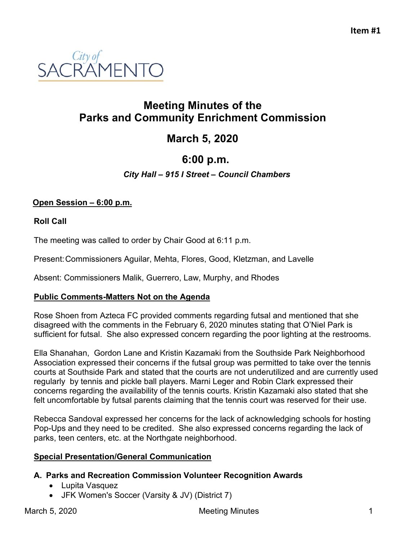

## **Meeting Minutes of the Parks and Community Enrichment Commission**

# **March 5, 2020**

# **6:00 p.m.**

### *City Hall – 915 I Street – Council Chambers*

### **Open Session – 6:00 p.m.**

**Roll Call** 

The meeting was called to order by Chair Good at 6:11 p.m.

Present:Commissioners Aguilar, Mehta, Flores, Good, Kletzman, and Lavelle

Absent: Commissioners Malik, Guerrero, Law, Murphy, and Rhodes

#### **Public Comments-Matters Not on the Agenda**

Rose Shoen from Azteca FC provided comments regarding futsal and mentioned that she disagreed with the comments in the February 6, 2020 minutes stating that O'Niel Park is sufficient for futsal. She also expressed concern regarding the poor lighting at the restrooms.

Ella Shanahan, Gordon Lane and Kristin Kazamaki from the Southside Park Neighborhood Association expressed their concerns if the futsal group was permitted to take over the tennis courts at Southside Park and stated that the courts are not underutilized and are currently used regularly by tennis and pickle ball players. Marni Leger and Robin Clark expressed their concerns regarding the availability of the tennis courts. Kristin Kazamaki also stated that she felt uncomfortable by futsal parents claiming that the tennis court was reserved for their use.

Rebecca Sandoval expressed her concerns for the lack of acknowledging schools for hosting Pop-Ups and they need to be credited. She also expressed concerns regarding the lack of parks, teen centers, etc. at the Northgate neighborhood.

### **Special Presentation/General Communication**

### **A. Parks and Recreation Commission Volunteer Recognition Awards**

- Lupita Vasquez
- JFK Women's Soccer (Varsity & JV) (District 7)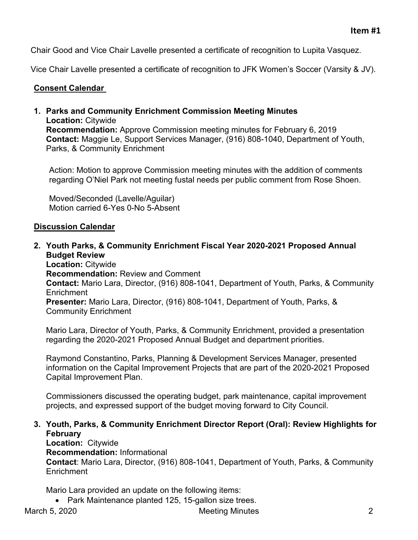Chair Good and Vice Chair Lavelle presented a certificate of recognition to Lupita Vasquez.

Vice Chair Lavelle presented a certificate of recognition to JFK Women's Soccer (Varsity & JV).

#### **Consent Calendar**

#### **1. Parks and Community Enrichment Commission Meeting Minutes Location:** Citywide

**Recommendation:** Approve Commission meeting minutes for February 6, 2019 **Contact:** Maggie Le, Support Services Manager, (916) 808-1040, Department of Youth, Parks, & Community Enrichment

Action: Motion to approve Commission meeting minutes with the addition of comments regarding O'Niel Park not meeting fustal needs per public comment from Rose Shoen.

Moved/Seconded (Lavelle/Aguilar) Motion carried 6-Yes 0-No 5-Absent

#### **Discussion Calendar**

**2. Youth Parks, & Community Enrichment Fiscal Year 2020-2021 Proposed Annual Budget Review**

**Location:** Citywide **Recommendation:** Review and Comment **Contact:** Mario Lara, Director, (916) 808-1041, Department of Youth, Parks, & Community **Enrichment Presenter:** Mario Lara, Director, (916) 808-1041, Department of Youth, Parks, & Community Enrichment

Mario Lara, Director of Youth, Parks, & Community Enrichment, provided a presentation regarding the 2020-2021 Proposed Annual Budget and department priorities.

Raymond Constantino, Parks, Planning & Development Services Manager, presented information on the Capital Improvement Projects that are part of the 2020-2021 Proposed Capital Improvement Plan.

Commissioners discussed the operating budget, park maintenance, capital improvement projects, and expressed support of the budget moving forward to City Council.

**3. Youth, Parks, & Community Enrichment Director Report (Oral): Review Highlights for February**

**Location:** Citywide **Recommendation:** Informational **Contact**: Mario Lara, Director, (916) 808-1041, Department of Youth, Parks, & Community **Enrichment** 

Mario Lara provided an update on the following items:

• Park Maintenance planted 125, 15-gallon size trees.